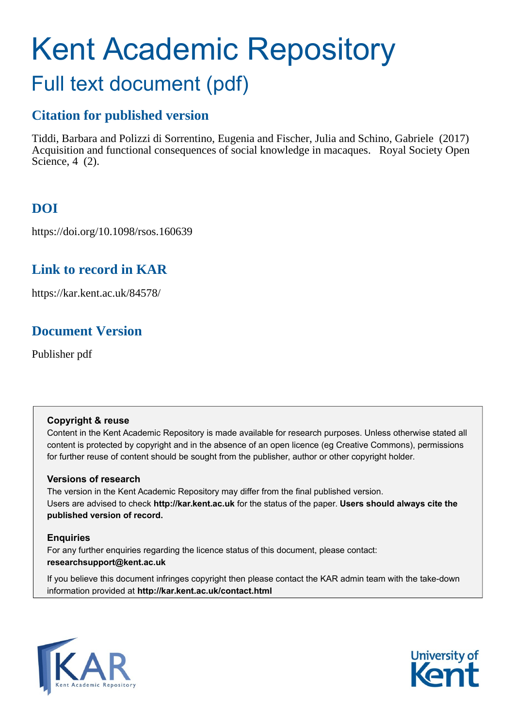# Kent Academic Repository Full text document (pdf)

# **Citation for published version**

Tiddi, Barbara and Polizzi di Sorrentino, Eugenia and Fischer, Julia and Schino, Gabriele (2017) Acquisition and functional consequences of social knowledge in macaques. Royal Society Open Science, 4 (2).

# **DOI**

https://doi.org/10.1098/rsos.160639

# **Link to record in KAR**

https://kar.kent.ac.uk/84578/

# **Document Version**

Publisher pdf

### **Copyright & reuse**

Content in the Kent Academic Repository is made available for research purposes. Unless otherwise stated all content is protected by copyright and in the absence of an open licence (eg Creative Commons), permissions for further reuse of content should be sought from the publisher, author or other copyright holder.

### **Versions of research**

The version in the Kent Academic Repository may differ from the final published version. Users are advised to check **http://kar.kent.ac.uk** for the status of the paper. **Users should always cite the published version of record.**

### **Enquiries**

For any further enquiries regarding the licence status of this document, please contact: **researchsupport@kent.ac.uk**

If you believe this document infringes copyright then please contact the KAR admin team with the take-down information provided at **http://kar.kent.ac.uk/contact.html**



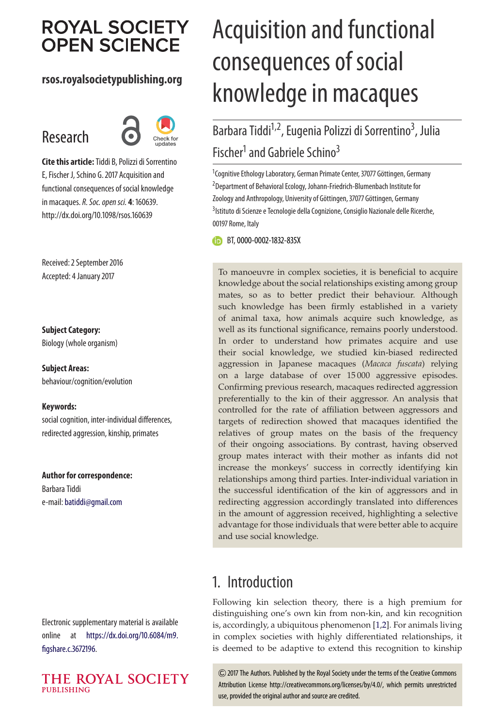# **ROYAL SOCIETY OPEN SCIENCE**

### **rsos.royalsocietypublishing.org**

# Research



**Cite this article:**Tiddi B, Polizzi di Sorrentino E, Fischer J, Schino G. 2017 Acquisition and functional consequences of social knowledge in macaques.R. Soc. open sci. **4**: 160639. http://dx.doi.org/10.1098/rsos.160639

Received: 2 September 2016 Accepted: 4 January 2017

### **Subject Category:**

Biology (whole organism)

**Subject Areas:** behaviour/cognition/evolution

#### **Keywords:**

social cognition, inter-individual differences, redirected aggression, kinship, primates

**Author for correspondence:** Barbara Tiddi

e-mail: [batiddi@gmail.com](mailto:batiddi@gmail.com)

[figshare.c.3672196.](https://dx.doi.org/10.6084/m9.figshare.c.3672196)

# Acquisition and functional consequences of social knowledge in macaques

Barbara Tiddi<sup>1,2</sup>, Eugenia Polizzi di Sorrentino<sup>3</sup>, Julia Fischer<sup>1</sup> and Gabriele Schino<sup>3</sup>

<sup>1</sup>Cognitive Ethology Laboratory, German Primate Center, 37077 Göttingen, Germany 2 Department of Behavioral Ecology, Johann-Friedrich-Blumenbach Institute for Zoology and Anthropology, University of Göttingen, 37077 Göttingen, Germany <sup>3</sup>Istituto di Scienze e Tecnologie della Cognizione, Consiglio Nazionale delle Ricerche, 00197 Rome, Italy

**BT, [0000-0002-1832-835X](http://orcid.org/0000-0002-1832-835X)** 

To manoeuvre in complex societies, it is beneficial to acquire knowledge about the social relationships existing among group mates, so as to better predict their behaviour. Although such knowledge has been firmly established in a variety of animal taxa, how animals acquire such knowledge, as well as its functional significance, remains poorly understood. In order to understand how primates acquire and use their social knowledge, we studied kin-biased redirected aggression in Japanese macaques (*Macaca fuscata*) relying on a large database of over 15 000 aggressive episodes. Confirming previous research, macaques redirected aggression preferentially to the kin of their aggressor. An analysis that controlled for the rate of affiliation between aggressors and targets of redirection showed that macaques identified the relatives of group mates on the basis of the frequency of their ongoing associations. By contrast, having observed group mates interact with their mother as infants did not increase the monkeys' success in correctly identifying kin relationships among third parties. Inter-individual variation in the successful identification of the kin of aggressors and in redirecting aggression accordingly translated into differences in the amount of aggression received, highlighting a selective advantage for those individuals that were better able to acquire and use social knowledge.

# 1. Introduction

Following kin selection theory, there is a high premium for distinguishing one's own kin from non-kin, and kin recognition is, accordingly, a ubiquitous phenomenon [1,2]. For animals living in complex societies with highly differentiated relationships, it is deemed to be adaptive to extend this recognition to kinship

THE ROYAL SOCIETY PUBLISHING

Electronic supplementary material is available online at [https://dx.doi.org/10.6084/m9.](https://dx.doi.org/10.6084/m9.figshare.c.3672196)

> 2017 The Authors. Published by the Royal Society under the terms of the Creative Commons Attribution License http://creativecommons.org/licenses/by/4.0/, which permits unrestricted use, provided the original author and source are credited.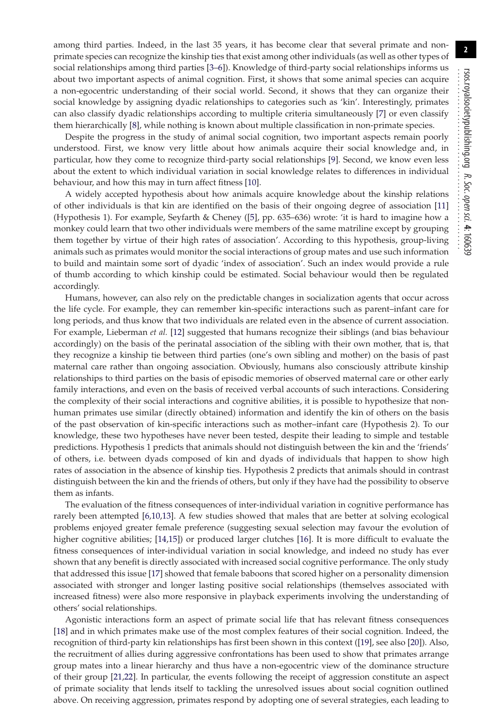**2**

among third parties. Indeed, in the last 35 years, it has become clear that several primate and nonprimate species can recognize the kinship ties that exist among other individuals (as well as other types of social relationships among third parties [3–6]). Knowledge of third-party social relationships informs us about two important aspects of animal cognition. First, it shows that some animal species can acquire a non-egocentric understanding of their social world. Second, it shows that they can organize their social knowledge by assigning dyadic relationships to categories such as 'kin'. Interestingly, primates can also classify dyadic relationships according to multiple criteria simultaneously [7] or even classify them hierarchically [8], while nothing is known about multiple classification in non-primate species.

Despite the progress in the study of animal social cognition, two important aspects remain poorly understood. First, we know very little about how animals acquire their social knowledge and, in particular, how they come to recognize third-party social relationships [9]. Second, we know even less about the extent to which individual variation in social knowledge relates to differences in individual behaviour, and how this may in turn affect fitness [10].

A widely accepted hypothesis about how animals acquire knowledge about the kinship relations of other individuals is that kin are identified on the basis of their ongoing degree of association [11] (Hypothesis 1). For example, Seyfarth & Cheney ([5], pp. 635–636) wrote: 'it is hard to imagine how a monkey could learn that two other individuals were members of the same matriline except by grouping them together by virtue of their high rates of association'. According to this hypothesis, group-living animals such as primates would monitor the social interactions of group mates and use such information to build and maintain some sort of dyadic 'index of association'. Such an index would provide a rule of thumb according to which kinship could be estimated. Social behaviour would then be regulated accordingly.

Humans, however, can also rely on the predictable changes in socialization agents that occur across the life cycle. For example, they can remember kin-specific interactions such as parent–infant care for long periods, and thus know that two individuals are related even in the absence of current association. For example, Lieberman *et al.* [12] suggested that humans recognize their siblings (and bias behaviour accordingly) on the basis of the perinatal association of the sibling with their own mother, that is, that they recognize a kinship tie between third parties (one's own sibling and mother) on the basis of past maternal care rather than ongoing association. Obviously, humans also consciously attribute kinship relationships to third parties on the basis of episodic memories of observed maternal care or other early family interactions, and even on the basis of received verbal accounts of such interactions. Considering the complexity of their social interactions and cognitive abilities, it is possible to hypothesize that nonhuman primates use similar (directly obtained) information and identify the kin of others on the basis of the past observation of kin-specific interactions such as mother–infant care (Hypothesis 2). To our knowledge, these two hypotheses have never been tested, despite their leading to simple and testable predictions. Hypothesis 1 predicts that animals should not distinguish between the kin and the 'friends' of others, i.e. between dyads composed of kin and dyads of individuals that happen to show high rates of association in the absence of kinship ties. Hypothesis 2 predicts that animals should in contrast distinguish between the kin and the friends of others, but only if they have had the possibility to observe them as infants.

The evaluation of the fitness consequences of inter-individual variation in cognitive performance has rarely been attempted [6,10,13]. A few studies showed that males that are better at solving ecological problems enjoyed greater female preference (suggesting sexual selection may favour the evolution of higher cognitive abilities; [14,15]) or produced larger clutches [16]. It is more difficult to evaluate the fitness consequences of inter-individual variation in social knowledge, and indeed no study has ever shown that any benefit is directly associated with increased social cognitive performance. The only study that addressed this issue [17] showed that female baboons that scored higher on a personality dimension associated with stronger and longer lasting positive social relationships (themselves associated with increased fitness) were also more responsive in playback experiments involving the understanding of others' social relationships.

Agonistic interactions form an aspect of primate social life that has relevant fitness consequences [18] and in which primates make use of the most complex features of their social cognition. Indeed, the recognition of third-party kin relationships has first been shown in this context ([19], see also [20]). Also, the recruitment of allies during aggressive confrontations has been used to show that primates arrange group mates into a linear hierarchy and thus have a non-egocentric view of the dominance structure of their group [21,22]. In particular, the events following the receipt of aggression constitute an aspect of primate sociality that lends itself to tackling the unresolved issues about social cognition outlined above. On receiving aggression, primates respond by adopting one of several strategies, each leading to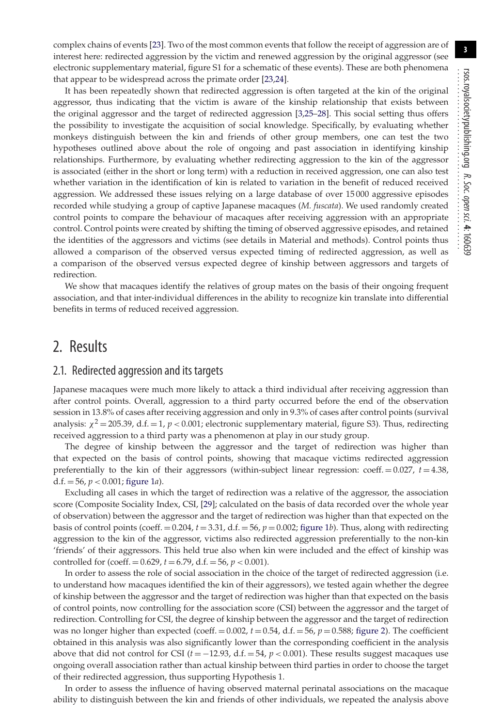complex chains of events [23]. Two of the most common events that follow the receipt of aggression are of interest here: redirected aggression by the victim and renewed aggression by the original aggressor (see electronic supplementary material, figure S1 for a schematic of these events). These are both phenomena that appear to be widespread across the primate order [23,24].

It has been repeatedly shown that redirected aggression is often targeted at the kin of the original aggressor, thus indicating that the victim is aware of the kinship relationship that exists between the original aggressor and the target of redirected aggression [3,25–28]. This social setting thus offers the possibility to investigate the acquisition of social knowledge. Specifically, by evaluating whether monkeys distinguish between the kin and friends of other group members, one can test the two hypotheses outlined above about the role of ongoing and past association in identifying kinship relationships. Furthermore, by evaluating whether redirecting aggression to the kin of the aggressor is associated (either in the short or long term) with a reduction in received aggression, one can also test whether variation in the identification of kin is related to variation in the benefit of reduced received aggression. We addressed these issues relying on a large database of over 15 000 aggressive episodes recorded while studying a group of captive Japanese macaques (*M. fuscata*). We used randomly created control points to compare the behaviour of macaques after receiving aggression with an appropriate control. Control points were created by shifting the timing of observed aggressive episodes, and retained the identities of the aggressors and victims (see details in Material and methods). Control points thus allowed a comparison of the observed versus expected timing of redirected aggression, as well as a comparison of the observed versus expected degree of kinship between aggressors and targets of redirection.

We show that macaques identify the relatives of group mates on the basis of their ongoing frequent association, and that inter-individual differences in the ability to recognize kin translate into differential benefits in terms of reduced received aggression.

## 2. Results

### 2.1. Redirected aggression and its targets

Japanese macaques were much more likely to attack a third individual after receiving aggression than after control points. Overall, aggression to a third party occurred before the end of the observation session in 13.8% of cases after receiving aggression and only in 9.3% of cases after control points (survival analysis:  $\chi^2$  = 205.39, d.f. = 1, *p* < 0.001; electronic supplementary material, figure S3). Thus, redirecting received aggression to a third party was a phenomenon at play in our study group.

The degree of kinship between the aggressor and the target of redirection was higher than that expected on the basis of control points, showing that macaque victims redirected aggression preferentially to the kin of their aggressors (within-subject linear regression: coeff.  $= 0.027$ ,  $t = 4.38$ , d.f. = 56, *p* < 0.001; figure 1*a*).

Excluding all cases in which the target of redirection was a relative of the aggressor, the association score (Composite Sociality Index, CSI, [29]; calculated on the basis of data recorded over the whole year of observation) between the aggressor and the target of redirection was higher than that expected on the basis of control points (coeff.  $= 0.204$ ,  $t = 3.31$ , d.f.  $= 56$ ,  $p = 0.002$ ; figure 1*b*). Thus, along with redirecting aggression to the kin of the aggressor, victims also redirected aggression preferentially to the non-kin 'friends' of their aggressors. This held true also when kin were included and the effect of kinship was controlled for (coeff.  $= 0.629$ ,  $t = 6.79$ , d.f.  $= 56$ ,  $p < 0.001$ ).

In order to assess the role of social association in the choice of the target of redirected aggression (i.e. to understand how macaques identified the kin of their aggressors), we tested again whether the degree of kinship between the aggressor and the target of redirection was higher than that expected on the basis of control points, now controlling for the association score (CSI) between the aggressor and the target of redirection. Controlling for CSI, the degree of kinship between the aggressor and the target of redirection was no longer higher than expected (coeff.  $= 0.002$ ,  $t = 0.54$ , d.f.  $= 56$ ,  $p = 0.588$ ; figure 2). The coefficient obtained in this analysis was also significantly lower than the corresponding coefficient in the analysis above that did not control for CSI  $(t = -12.93, d.f. = 54, p < 0.001)$ . These results suggest macaques use ongoing overall association rather than actual kinship between third parties in order to choose the target of their redirected aggression, thus supporting Hypothesis 1.

In order to assess the influence of having observed maternal perinatal associations on the macaque ability to distinguish between the kin and friends of other individuals, we repeated the analysis above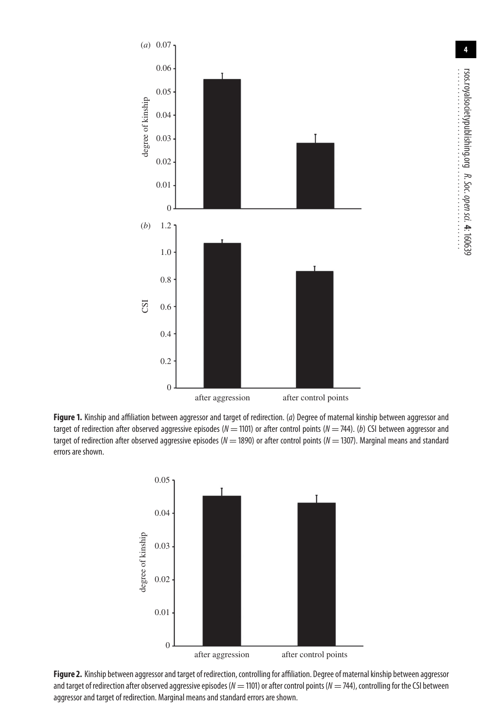

Figure 1. Kinship and affiliation between aggressor and target of redirection. (a) Degree of maternal kinship between aggressor and target of redirection after observed aggressive episodes ( $N = 1001$ ) or after control points ( $N = 744$ ). (b) CSI between aggressor and target of redirection after observed aggressive episodes ( $N = 1890$ ) or after control points ( $N = 1307$ ). Marginal means and standard errors are shown.



**Figure 2.** Kinship between aggressor and target of redirection, controlling for affiliation. Degree of maternal kinship between aggressor and target of redirection after observed aggressive episodes ( $N = 1101$ ) or after control points ( $N = 744$ ), controlling for the CSI between aggressor and target of redirection. Marginal means and standard errors are shown.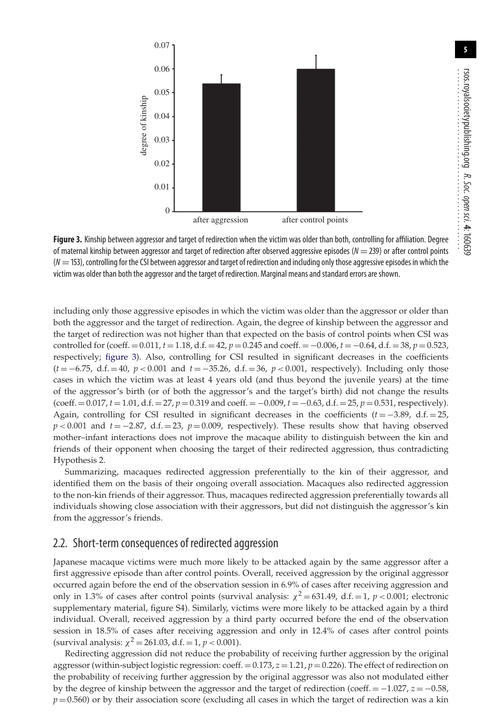

**Figure 3.** Kinship between aggressor and target of redirection when the victim was older than both, controlling for affiliation. Degree of maternal kinship between aggressor and target of redirection after observed aggressive episodes ( $N = 239$ ) or after control points  $(N = 153)$ , controlling for the CSI between aggressor and target of redirection and including only those aggressive episodes in which the victim was older than both the aggressor and the target of redirection. Marginal means and standard errors are shown.

including only those aggressive episodes in which the victim was older than the aggressor or older than both the aggressor and the target of redirection. Again, the degree of kinship between the aggressor and the target of redirection was not higher than that expected on the basis of control points when CSI was controlled for (coeff. = 0.011, *t* = 1.18, d.f. = 42, *p* = 0.245 and coeff. = −0.006, *t* = −0.64, d.f. = 38, *p* = 0.523, respectively; figure 3). Also, controlling for CSI resulted in significant decreases in the coefficients (*t* = −6.75, d.f. = 40, *p* < 0.001 and *t* = −35.26, d.f. = 36, *p* < 0.001, respectively). Including only those cases in which the victim was at least 4 years old (and thus beyond the juvenile years) at the time of the aggressor's birth (or of both the aggressor's and the target's birth) did not change the results (coeff. = 0.017, *t* = 1.01, d.f. = 27, *p* = 0.319 and coeff. = −0.009, *t* = −0.63, d.f. = 25, *p* = 0.531, respectively). Again, controlling for CSI resulted in significant decreases in the coefficients (*t* = −3.89, d.f. = 25,  $p < 0.001$  and  $t = -2.87$ , d.f. = 23,  $p = 0.009$ , respectively). These results show that having observed mother–infant interactions does not improve the macaque ability to distinguish between the kin and friends of their opponent when choosing the target of their redirected aggression, thus contradicting Hypothesis 2.

Summarizing, macaques redirected aggression preferentially to the kin of their aggressor, and identified them on the basis of their ongoing overall association. Macaques also redirected aggression to the non-kin friends of their aggressor. Thus, macaques redirected aggression preferentially towards all individuals showing close association with their aggressors, but did not distinguish the aggressor's kin from the aggressor's friends.

### 2.2. Short-term consequences of redirected aggression

Japanese macaque victims were much more likely to be attacked again by the same aggressor after a first aggressive episode than after control points. Overall, received aggression by the original aggressor occurred again before the end of the observation session in 6.9% of cases after receiving aggression and only in 1.3% of cases after control points (survival analysis:  $\chi^2$  = 631.49, d.f. = 1, *p* < 0.001; electronic supplementary material, figure S4). Similarly, victims were more likely to be attacked again by a third individual. Overall, received aggression by a third party occurred before the end of the observation session in 18.5% of cases after receiving aggression and only in 12.4% of cases after control points (survival analysis:  $\chi^2$  = 261.03, d.f. = 1, *p* < 0.001).

Redirecting aggression did not reduce the probability of receiving further aggression by the original aggressor (within-subject logistic regression: coeff. = 0.173, *z* = 1.21, *p* = 0.226). The effect of redirection on the probability of receiving further aggression by the original aggressor was also not modulated either by the degree of kinship between the aggressor and the target of redirection (coeff. = −1.027, *z* = −0.58,  $p = 0.560$ ) or by their association score (excluding all cases in which the target of redirection was a kin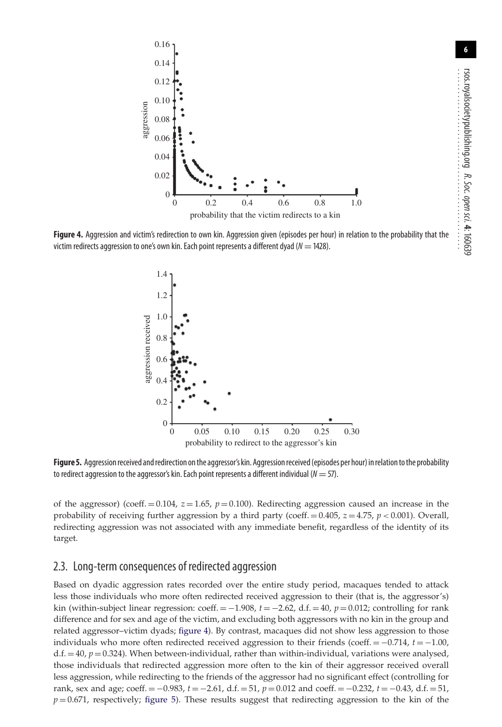

**Figure 4.** Aggression and victim's redirection to own kin. Aggression given (episodes per hour) in relation to the probability that the victim redirects aggression to one's own kin. Each point represents a different dyad ( $N = 1428$ ).



Figure 5. Aggression received and redirection on the aggressor's kin. Aggression received (episodes per hour) in relation to the probability to redirect aggression to the aggressor's kin. Each point represents a different individual ( $N = 57$ ).

of the aggressor) (coeff.  $= 0.104$ ,  $z = 1.65$ ,  $p = 0.100$ ). Redirecting aggression caused an increase in the probability of receiving further aggression by a third party (coeff.  $= 0.405$ ,  $z = 4.75$ ,  $p < 0.001$ ). Overall, redirecting aggression was not associated with any immediate benefit, regardless of the identity of its target.

### 2.3. Long-term consequences of redirected aggression

aggression

Based on dyadic aggression rates recorded over the entire study period, macaques tended to attack less those individuals who more often redirected received aggression to their (that is, the aggressor's) kin (within-subject linear regression: coeff.  $= -1.908$ ,  $t = -2.62$ , d.f.  $= 40$ ,  $p = 0.012$ ; controlling for rank difference and for sex and age of the victim, and excluding both aggressors with no kin in the group and related aggressor–victim dyads; figure 4). By contrast, macaques did not show less aggression to those individuals who more often redirected received aggression to their friends (coeff. = −0.714, *t* = −1.00,  $d.f. = 40$ ,  $p = 0.324$ ). When between-individual, rather than within-individual, variations were analysed, those individuals that redirected aggression more often to the kin of their aggressor received overall less aggression, while redirecting to the friends of the aggressor had no significant effect (controlling for rank, sex and age; coeff. = −0.983, *t* = −2.61, d.f. = 51, *p* = 0.012 and coeff. = −0.232, *t* = −0.43, d.f. = 51,  $p = 0.671$ , respectively; figure 5). These results suggest that redirecting aggression to the kin of the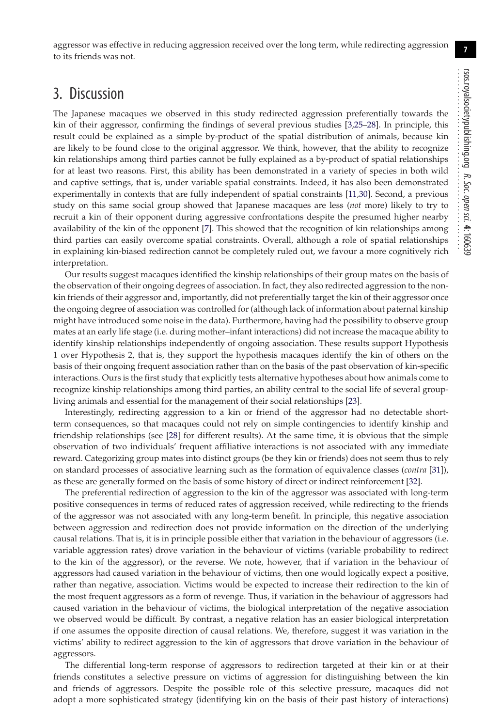**7**

aggressor was effective in reducing aggression received over the long term, while redirecting aggression to its friends was not.

## 3. Discussion

The Japanese macaques we observed in this study redirected aggression preferentially towards the kin of their aggressor, confirming the findings of several previous studies [3,25–28]. In principle, this result could be explained as a simple by-product of the spatial distribution of animals, because kin are likely to be found close to the original aggressor. We think, however, that the ability to recognize kin relationships among third parties cannot be fully explained as a by-product of spatial relationships for at least two reasons. First, this ability has been demonstrated in a variety of species in both wild and captive settings, that is, under variable spatial constraints. Indeed, it has also been demonstrated experimentally in contexts that are fully independent of spatial constraints [11,30]. Second, a previous study on this same social group showed that Japanese macaques are less (*not* more) likely to try to recruit a kin of their opponent during aggressive confrontations despite the presumed higher nearby availability of the kin of the opponent [7]. This showed that the recognition of kin relationships among third parties can easily overcome spatial constraints. Overall, although a role of spatial relationships in explaining kin-biased redirection cannot be completely ruled out, we favour a more cognitively rich interpretation.

Our results suggest macaques identified the kinship relationships of their group mates on the basis of the observation of their ongoing degrees of association. In fact, they also redirected aggression to the nonkin friends of their aggressor and, importantly, did not preferentially target the kin of their aggressor once the ongoing degree of association was controlled for (although lack of information about paternal kinship might have introduced some noise in the data). Furthermore, having had the possibility to observe group mates at an early life stage (i.e. during mother–infant interactions) did not increase the macaque ability to identify kinship relationships independently of ongoing association. These results support Hypothesis 1 over Hypothesis 2, that is, they support the hypothesis macaques identify the kin of others on the basis of their ongoing frequent association rather than on the basis of the past observation of kin-specific interactions. Ours is the first study that explicitly tests alternative hypotheses about how animals come to recognize kinship relationships among third parties, an ability central to the social life of several groupliving animals and essential for the management of their social relationships [23].

Interestingly, redirecting aggression to a kin or friend of the aggressor had no detectable shortterm consequences, so that macaques could not rely on simple contingencies to identify kinship and friendship relationships (see [28] for different results). At the same time, it is obvious that the simple observation of two individuals' frequent affiliative interactions is not associated with any immediate reward. Categorizing group mates into distinct groups (be they kin or friends) does not seem thus to rely on standard processes of associative learning such as the formation of equivalence classes (*contra* [31]), as these are generally formed on the basis of some history of direct or indirect reinforcement [32].

The preferential redirection of aggression to the kin of the aggressor was associated with long-term positive consequences in terms of reduced rates of aggression received, while redirecting to the friends of the aggressor was not associated with any long-term benefit. In principle, this negative association between aggression and redirection does not provide information on the direction of the underlying causal relations. That is, it is in principle possible either that variation in the behaviour of aggressors (i.e. variable aggression rates) drove variation in the behaviour of victims (variable probability to redirect to the kin of the aggressor), or the reverse. We note, however, that if variation in the behaviour of aggressors had caused variation in the behaviour of victims, then one would logically expect a positive, rather than negative, association. Victims would be expected to increase their redirection to the kin of the most frequent aggressors as a form of revenge. Thus, if variation in the behaviour of aggressors had caused variation in the behaviour of victims, the biological interpretation of the negative association we observed would be difficult. By contrast, a negative relation has an easier biological interpretation if one assumes the opposite direction of causal relations. We, therefore, suggest it was variation in the victims' ability to redirect aggression to the kin of aggressors that drove variation in the behaviour of aggressors.

The differential long-term response of aggressors to redirection targeted at their kin or at their friends constitutes a selective pressure on victims of aggression for distinguishing between the kin and friends of aggressors. Despite the possible role of this selective pressure, macaques did not adopt a more sophisticated strategy (identifying kin on the basis of their past history of interactions)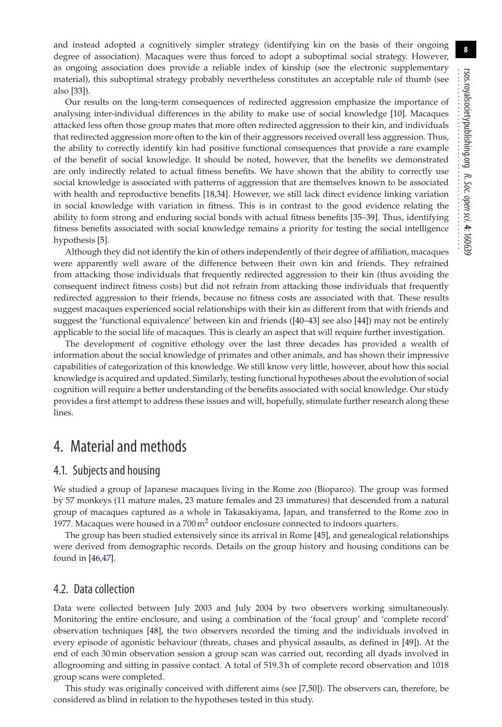and instead adopted a cognitively simpler strategy (identifying kin on the basis of their ongoing degree of association). Macaques were thus forced to adopt a suboptimal social strategy. However, as ongoing association does provide a reliable index of kinship (see the electronic supplementary material), this suboptimal strategy probably nevertheless constitutes an acceptable rule of thumb (see also [33]).

Our results on the long-term consequences of redirected aggression emphasize the importance of analysing inter-individual differences in the ability to make use of social knowledge [10]. Macaques attacked less often those group mates that more often redirected aggression to their kin, and individuals that redirected aggression more often to the kin of their aggressors received overall less aggression. Thus, the ability to correctly identify kin had positive functional consequences that provide a rare example of the benefit of social knowledge. It should be noted, however, that the benefits we demonstrated are only indirectly related to actual fitness benefits. We have shown that the ability to correctly use social knowledge is associated with patterns of aggression that are themselves known to be associated with health and reproductive benefits [18,34]. However, we still lack direct evidence linking variation in social knowledge with variation in fitness. This is in contrast to the good evidence relating the ability to form strong and enduring social bonds with actual fitness benefits [35–39]. Thus, identifying fitness benefits associated with social knowledge remains a priority for testing the social intelligence hypothesis [5].

Although they did not identify the kin of others independently of their degree of affiliation, macaques were apparently well aware of the difference between their own kin and friends. They refrained from attacking those individuals that frequently redirected aggression to their kin (thus avoiding the consequent indirect fitness costs) but did not refrain from attacking those individuals that frequently redirected aggression to their friends, because no fitness costs are associated with that. These results suggest macaques experienced social relationships with their kin as different from that with friends and suggest the 'functional equivalence' between kin and friends ([40–43] see also [44]) may not be entirely applicable to the social life of macaques. This is clearly an aspect that will require further investigation.

The development of cognitive ethology over the last three decades has provided a wealth of information about the social knowledge of primates and other animals, and has shown their impressive capabilities of categorization of this knowledge. We still know very little, however, about how this social knowledge is acquired and updated. Similarly, testing functional hypotheses about the evolution of social cognition will require a better understanding of the benefits associated with social knowledge. Our study provides a first attempt to address these issues and will, hopefully, stimulate further research along these lines.

### 4. Material and methods

### 4.1. Subjects and housing

We studied a group of Japanese macaques living in the Rome zoo (Bioparco). The group was formed by 57 monkeys (11 mature males, 23 mature females and 23 immatures) that descended from a natural group of macaques captured as a whole in Takasakiyama, Japan, and transferred to the Rome zoo in 1977. Macaques were housed in a  $700 \,\mathrm{m}^2$  outdoor enclosure connected to indoors quarters.

The group has been studied extensively since its arrival in Rome [45], and genealogical relationships were derived from demographic records. Details on the group history and housing conditions can be found in [46,47].

### 4.2. Data collection

Data were collected between July 2003 and July 2004 by two observers working simultaneously. Monitoring the entire enclosure, and using a combination of the 'focal group' and 'complete record' observation techniques [48], the two observers recorded the timing and the individuals involved in every episode of agonistic behaviour (threats, chases and physical assaults, as defined in [49]). At the end of each 30 min observation session a group scan was carried out, recording all dyads involved in allogrooming and sitting in passive contact. A total of 519.3 h of complete record observation and 1018 group scans were completed.

This study was originally conceived with different aims (see [7,50]). The observers can, therefore, be considered as blind in relation to the hypotheses tested in this study.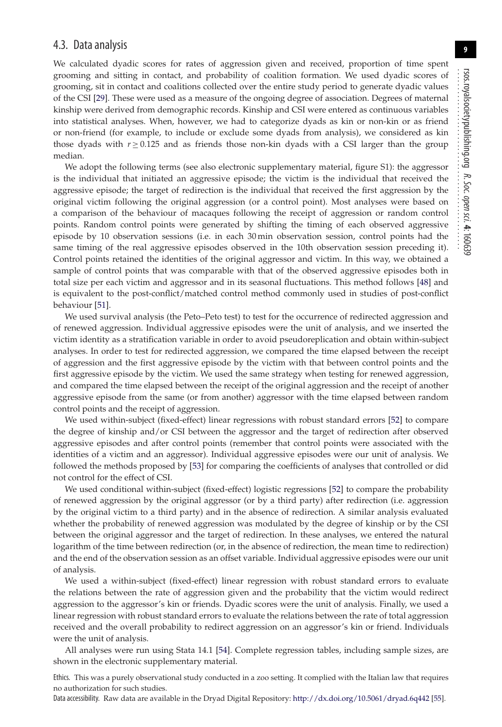### 4.3. Data analysis

We calculated dyadic scores for rates of aggression given and received, proportion of time spent grooming and sitting in contact, and probability of coalition formation. We used dyadic scores of grooming, sit in contact and coalitions collected over the entire study period to generate dyadic values of the CSI [29]. These were used as a measure of the ongoing degree of association. Degrees of maternal kinship were derived from demographic records. Kinship and CSI were entered as continuous variables into statistical analyses. When, however, we had to categorize dyads as kin or non-kin or as friend or non-friend (for example, to include or exclude some dyads from analysis), we considered as kin those dyads with  $r \geq 0.125$  and as friends those non-kin dyads with a CSI larger than the group median.

We adopt the following terms (see also electronic supplementary material, figure S1): the aggressor is the individual that initiated an aggressive episode; the victim is the individual that received the aggressive episode; the target of redirection is the individual that received the first aggression by the original victim following the original aggression (or a control point). Most analyses were based on a comparison of the behaviour of macaques following the receipt of aggression or random control points. Random control points were generated by shifting the timing of each observed aggressive episode by 10 observation sessions (i.e. in each 30 min observation session, control points had the same timing of the real aggressive episodes observed in the 10th observation session preceding it). Control points retained the identities of the original aggressor and victim. In this way, we obtained a sample of control points that was comparable with that of the observed aggressive episodes both in total size per each victim and aggressor and in its seasonal fluctuations. This method follows [48] and is equivalent to the post-conflict/matched control method commonly used in studies of post-conflict behaviour [51].

We used survival analysis (the Peto–Peto test) to test for the occurrence of redirected aggression and of renewed aggression. Individual aggressive episodes were the unit of analysis, and we inserted the victim identity as a stratification variable in order to avoid pseudoreplication and obtain within-subject analyses. In order to test for redirected aggression, we compared the time elapsed between the receipt of aggression and the first aggressive episode by the victim with that between control points and the first aggressive episode by the victim. We used the same strategy when testing for renewed aggression, and compared the time elapsed between the receipt of the original aggression and the receipt of another aggressive episode from the same (or from another) aggressor with the time elapsed between random control points and the receipt of aggression.

We used within-subject (fixed-effect) linear regressions with robust standard errors [52] to compare the degree of kinship and/or CSI between the aggressor and the target of redirection after observed aggressive episodes and after control points (remember that control points were associated with the identities of a victim and an aggressor). Individual aggressive episodes were our unit of analysis. We followed the methods proposed by [53] for comparing the coefficients of analyses that controlled or did not control for the effect of CSI.

We used conditional within-subject (fixed-effect) logistic regressions [52] to compare the probability of renewed aggression by the original aggressor (or by a third party) after redirection (i.e. aggression by the original victim to a third party) and in the absence of redirection. A similar analysis evaluated whether the probability of renewed aggression was modulated by the degree of kinship or by the CSI between the original aggressor and the target of redirection. In these analyses, we entered the natural logarithm of the time between redirection (or, in the absence of redirection, the mean time to redirection) and the end of the observation session as an offset variable. Individual aggressive episodes were our unit of analysis.

We used a within-subject (fixed-effect) linear regression with robust standard errors to evaluate the relations between the rate of aggression given and the probability that the victim would redirect aggression to the aggressor's kin or friends. Dyadic scores were the unit of analysis. Finally, we used a linear regression with robust standard errors to evaluate the relations between the rate of total aggression received and the overall probability to redirect aggression on an aggressor's kin or friend. Individuals were the unit of analysis.

All analyses were run using Stata 14.1 [54]. Complete regression tables, including sample sizes, are shown in the electronic supplementary material.

Ethics. This was a purely observational study conducted in a zoo setting. It complied with the Italian law that requires no authorization for such studies.

Data accessibility. Raw data are available in the Dryad Digital Repository: <http://dx.doi.org/10.5061/dryad.6q442> [55].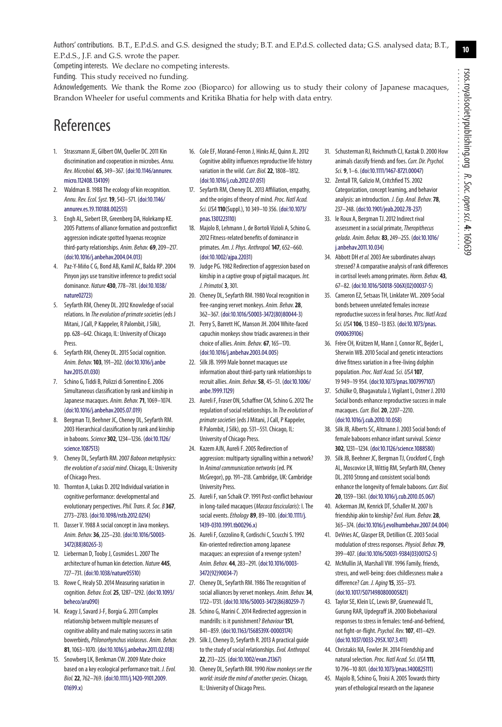Authors' contributions. B.T., E.P.d.S. and G.S. designed the study; B.T. and E.P.d.S. collected data; G.S. analysed data; B.T., E.P.d.S., J.F. and G.S. wrote the paper.

Competing interests. We declare no competing interests.

Funding. This study received no funding.

Acknowledgements. We thank the Rome zoo (Bioparco) for allowing us to study their colony of Japanese macaques, Brandon Wheeler for useful comments and Kritika Bhatia for help with data entry.

# References

- 1. Strassmann JE, Gilbert OM, Queller DC. 2011 Kin discrimination and cooperation in microbes. Annu. Rev. Microbiol. **65**, 349–367. [\(doi:10.1146/annurev.](http://dx.doi.org/10.1146/annurev.micro.112408.134109) [micro.112408.134109\)](http://dx.doi.org/10.1146/annurev.micro.112408.134109)
- 2. Waldman B. 1988 The ecology of kin recognition. Annu. Rev. Ecol. Syst.**19**, 543–571. [\(doi:10.1146/](http://dx.doi.org/10.1146/annurev.es.19.110188.002551) [annurev.es.19.110188.002551\)](http://dx.doi.org/10.1146/annurev.es.19.110188.002551)
- 3. Engh AL, Siebert ER, Greenberg DA, Holekamp KE. 2005 Patterns of alliance formation and postconflict aggression indicate spotted hyaenas recognize third-party relationships. Anim. Behav. **69**, 209–217. [\(doi:10.1016/j.anbehav.2004.04.013\)](http://dx.doi.org/10.1016/j.anbehav.2004.04.013)
- 4. Paz-Y-Miño C G, Bond AB, Kamil AC, Balda RP. 2004 Pinyon jays use transitive inference to predict social dominance. Nature **430**, 778–781. [\(doi:10.1038/](http://dx.doi.org/10.1038/nature02723) [nature02723\)](http://dx.doi.org/10.1038/nature02723)
- 5. Seyfarth RM, Cheney DL. 2012 Knowledge of social relations. In The evolution of primate societies (eds J Mitani, J Call, P Kappeler, R Palombit, J Silk), pp. 628–642. Chicago, IL: University of Chicago Press.
- 6. Seyfarth RM, Cheney DL. 2015 Social cognition. Anim. Behav. **103**, 191–202. [\(doi:10.1016/j.anbe](http://dx.doi.org/10.1016/j.anbehav.2015.01.030) [hav.2015.01.030\)](http://dx.doi.org/10.1016/j.anbehav.2015.01.030)
- 7. Schino G, Tiddi B, Polizzi di Sorrentino E. 2006 Simultaneous classification by rank and kinship in Japanese macaques. Anim. Behav.**71**, 1069–1074. [\(doi:10.1016/j.anbehav.2005.07.019\)](http://dx.doi.org/10.1016/j.anbehav.2005.07.019)
- 8. Bergman TJ, Beehner JC, Cheney DL, Seyfarth RM. 2003 Hierarchical classification by rank and kinship in baboons.Science**302**, 1234–1236. [\(doi:10.1126/](http://dx.doi.org/10.1126/science.1087513) [science.1087513\)](http://dx.doi.org/10.1126/science.1087513)
- 9. Cheney DL, Seyfarth RM. 2007 Baboon metaphysics: the evolution of a social mind. Chicago, IL: University of Chicago Press.
- 10. Thornton A, Lukas D. 2012 Individual variation in cognitive performance: developmental and evolutionary perspectives.Phil. Trans. R. Soc. B **367**, 2773–2783. [\(doi:10.1098/rstb.2012.0214\)](http://dx.doi.org/10.1098/rstb.2012.0214)
- 11. Dasser V. 1988 A social concept in Java monkeys. Anim. Behav.**36**, 225–230. [\(doi:10.1016/S0003-](http://dx.doi.org/10.1016/S0003-3472(88)80265-3) [3472\(88\)80265-3\)](http://dx.doi.org/10.1016/S0003-3472(88)80265-3)
- 12. Lieberman D, Tooby J, Cosmides L. 2007 The architecture of human kin detection. Nature **445**, 727–731. [\(doi:10.1038/nature05510\)](http://dx.doi.org/10.1038/nature05510)
- 13. Rowe C, Healy SD. 2014 Measuring variation in cognition. Behav. Ecol.**25**, 1287–1292. [\(doi:10.1093/](http://dx.doi.org/10.1093/beheco/aru090) [beheco/aru090\)](http://dx.doi.org/10.1093/beheco/aru090)
- 14. Keagy J, Savard J-F, Borgia G. 2011 Complex relationship between multiple measures of cognitive ability and male mating success in satin bowerbirds,Ptilonorhynchus violaceus. Anim. Behav. **81**, 1063–1070. [\(doi:10.1016/j.anbehav.2011.02.018\)](http://dx.doi.org/10.1016/j.anbehav.2011.02.018)
- 15. Snowberg LK, Benkman CW. 2009 Mate choice based on a key ecological performance trait. J. Evol. Biol.**22**, 762–769. [\(doi:10.1111/j.1420-9101.2009.](http://dx.doi.org/10.1111/j.1420-9101.2009.01699.x) [01699.x\)](http://dx.doi.org/10.1111/j.1420-9101.2009.01699.x)
- 16. Cole EF, Morand-Ferron J, Hinks AE, Quinn JL. 2012 Cognitive ability influences reproductive life history variation in the wild. Curr. Biol. 22, 1808-1812. [\(doi:10.1016/j.cub.2012.07.051\)](http://dx.doi.org/10.1016/j.cub.2012.07.051)
- 17. Seyfarth RM, Cheney DL. 2013 Affiliation, empathy, and the origins of theory of mind. Proc. Natl Acad. Sci. USA **110**(Suppl.), 10 349–10 356. [\(doi:10.1073/](http://dx.doi.org/10.1073/pnas.1301223110) [pnas.1301223110\)](http://dx.doi.org/10.1073/pnas.1301223110)
- 18. Majolo B, Lehmann J, de Bortoli Vizioli A, Schino G. 2012 Fitness-related benefits of dominance in primates. Am. J. Phys. Anthropol.**147**, 652–660. [\(doi:10.1002/ajpa.22031\)](http://dx.doi.org/10.1002/ajpa.22031)
- 19. Judge PG. 1982 Redirection of aggression based on kinship in a captive group of pigtail macaques. Int. J. Primatol.**3**, 301.
- 20. Cheney DL, Seyfarth RM. 1980 Vocal recognition in free-ranging vervet monkeys. Anim. Behav.**28**, 362–367. [\(doi:10.1016/S0003-3472\(80\)80044-3\)](http://dx.doi.org/10.1016/S0003-3472(80)80044-3)
- 21. Perry S, Barrett HC, Manson JH. 2004 White-faced capuchin monkeys show triadic awareness in their choice of allies. Anim. Behav. **67**, 165–170. [\(doi:10.1016/j.anbehav.2003.04.005\)](http://dx.doi.org/10.1016/j.anbehav.2003.04.005)
- 22. Silk JB. 1999 Male bonnet macaques use information about third-party rank relationships to recruit allies. Anim. Behav.**58**, 45–51. [\(doi:10.1006/](http://dx.doi.org/10.1006/anbe.1999.1129) [anbe.1999.1129\)](http://dx.doi.org/10.1006/anbe.1999.1129)
- 23. Aureli F, Fraser ON, Schaffner CM, Schino G. 2012 The regulation of social relationships. In The evolution of primate societies (eds J Mitani, J Call, P Kappeler, R Palombit, J Silk), pp. 531–551. Chicago, IL: University of Chicago Press.
- 24. Kazem AJN, Aureli F. 2005 Redirection of aggression: multiparty signalling within a network? In Animal communication networks (ed. PK McGregor), pp. 191–218. Cambridge, UK: Cambridge University Press.
- 25. Aureli F, van Schaik CP. 1991 Post-conflict behaviour in long-tailed macaques (Macaca fascicularis): I. The social events.Ethology **89**, 89–100. [\(doi:10.1111/j.](http://dx.doi.org/10.1111/j.1439-0310.1991.tb00296.x) [1439-0310.1991.tb00296.x\)](http://dx.doi.org/10.1111/j.1439-0310.1991.tb00296.x)
- 26. Aureli F, Cozzolino R, Cordischi C, Scucchi S. 1992 Kin-oriented redirection among Japanese macaques: an expression of a revenge system? Anim. Behav. **44**, 283–291. [\(doi:10.1016/0003-](http://dx.doi.org/10.1016/0003-3472(92)90034-7) [3472\(92\)90034-7\)](http://dx.doi.org/10.1016/0003-3472(92)90034-7)
- 27. Cheney DL, Seyfarth RM. 1986 The recognition of social alliances by vervet monkeys. Anim. Behav.**34**, 1722–1731. [\(doi:10.1016/S0003-3472\(86\)80259-7\)](http://dx.doi.org/10.1016/S0003-3472(86)80259-7)
- 28. Schino G, Marini C, 2014 Redirected aggression in mandrills: is it punishment? Behaviour **151**, 841–859. [\(doi:10.1163/1568539X-00003174\)](http://dx.doi.org/10.1163/1568539X-00003174)
- 29. Silk J, Cheney D, Seyfarth R. 2013 A practical guide to the study of social relationships. Evol. Anthropol. **22**, 213–225. [\(doi:10.1002/evan.21367\)](http://dx.doi.org/10.1002/evan.21367)
- 30. Cheney DL, Seyfarth RM. 1990 How monkeys see the world: inside the mind of another species. Chicago, IL: University of Chicago Press.
- 31. Schusterman RJ, Reichmuth CJ, Kastak D. 2000 How animals classify friends and foes. Curr. Dir. Psychol. Sci. **9**, 1–6. [\(doi:10.1111/1467-8721.00047\)](http://dx.doi.org/10.1111/1467-8721.00047)
- 32. Zentall TR, Galizio M, Critchfied TS. 2002 Categorization, concept learning, and behavior analysis: an introduction. J. Exp. Anal. Behav.**78**, 237–248. [\(doi:10.1901/jeab.2002.78-237\)](http://dx.doi.org/10.1901/jeab.2002.78-237)
- 33. le Roux A, Bergman TJ. 2012 Indirect rival assessment in a social primate, Theropithecus gelada. Anim. Behav. **83**, 249–255. [\(doi:10.1016/](http://dx.doi.org/10.1016/j.anbehav.2011.10.034) [j.anbehav.2011.10.034\)](http://dx.doi.org/10.1016/j.anbehav.2011.10.034)
- 34. Abbott DH et al. 2003 Are subordinates always stressed? A comparative analysis of rank differences in cortisol levels among primates. Horm. Behav. **43**, 67–82. [\(doi:10.1016/S0018-506X\(02\)00037-5\)](http://dx.doi.org/10.1016/S0018-506X(02)00037-5)
- 35. Cameron EZ, Setsaas TH, Linklater WL. 2009 Social bonds between unrelated females increase reproductive success in feral horses. Proc. Natl Acad. Sci. USA **106**, 13 850–13 853. [\(doi:10.1073/pnas.](http://dx.doi.org/10.1073/pnas.0900639106) [0900639106\)](http://dx.doi.org/10.1073/pnas.0900639106)
- 36. Frère CH, Krützen M, Mann J, Connor RC, Bejder L, Sherwin WB. 2010 Social and genetic interactions drive fitness variation in a free-living dolphin population.Proc. Natl Acad. Sci. USA **107**, 19 949–19 954. [\(doi:10.1073/pnas.1007997107\)](http://dx.doi.org/10.1073/pnas.1007997107)
- 37. Schülke O, Bhagavatula J, Vigilant L, Ostner J. 2010 Social bonds enhance reproductive success in male macaques.Curr. Biol.**20**, 2207–2210. [\(doi:10.1016/j.cub.2010.10.058\)](http://dx.doi.org/10.1016/j.cub.2010.10.058)
- 38. Silk JB, Alberts SC, Altmann J. 2003 Social bonds of female baboons enhance infant survival. Science **302**, 1231–1234. [\(doi:10.1126/science.1088580\)](http://dx.doi.org/10.1126/science.1088580)
- 39. Silk JB, Beehner JC, Bergman TJ, Crockford C, Engh AL, Moscovice LR, Wittig RM, Seyfarth RM, Cheney DL. 2010 Strong and consistent social bonds enhance the longevity of female baboons. Curr. Biol. **20**, 1359–1361. [\(doi:10.1016/j.cub.2010.05.067\)](http://dx.doi.org/10.1016/j.cub.2010.05.067)
- 40. Ackerman JM, Kenrick DT, Schaller M. 2007 Is friendship akin to kinship?Evol. Hum. Behav.**28**, 365–374. [\(doi:10.1016/j.evolhumbehav.2007.04.004\)](http://dx.doi.org/10.1016/j.evolhumbehav.2007.04.004)
- 41. DeVries AC, Glasper ER, Detillion CE. 2003 Social modulation of stress responses.Physiol. Behav.**79**, 399–407. [\(doi:10.1016/S0031-9384\(03\)00152-5\)](http://dx.doi.org/10.1016/S0031-9384(03)00152-5)
- 42. McMullin JA, Marshall VW. 1996 Family, friends, stress, and well-being: does childlessness make a difference? Can. J. Aging **15**, 355-373. [\(doi:10.1017/S0714980800005821\)](http://dx.doi.org/10.1017/S0714980800005821)
- 43. Taylor SE, Klein LC, Lewis BP, Gruenewald TL, Gurung RAR, Updegraff JA. 2000 Biobehavioral responses to stress in females: tend-and-befriend, not fight-or-flight. Psychol. Rev. **107**, 411-429. [\(doi:10.1037/0033-295X.107.3.411\)](http://dx.doi.org/10.1037/0033-295X.107.3.411)
- 44. Christakis NA, Fowler JH. 2014 Friendship and natural selection.Proc. Natl Acad. Sci. USA **111**, 10 796–10 801. [\(doi:10.1073/pnas.1400825111\)](http://dx.doi.org/10.1073/pnas.1400825111)
- 45. Majolo B, Schino G, Troisi A. 2005 Towards thirty years of ethological research on the Japanese